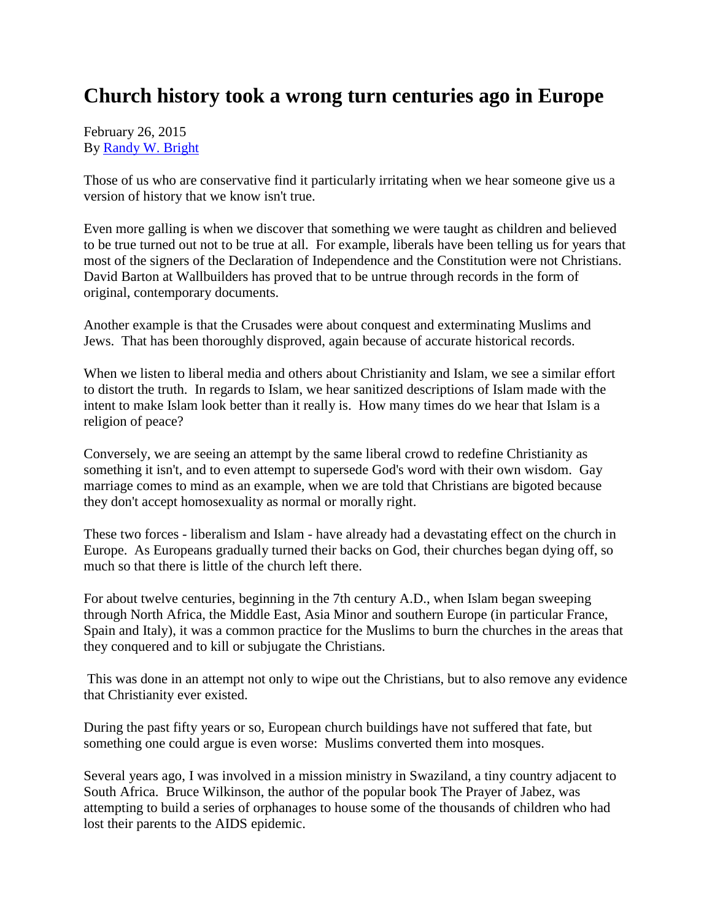## **Church history took a wrong turn centuries ago in Europe**

February 26, 2015 By [Randy W. Bright](http://www.tulsabeacon.com/author/slug-o6yd1v)

Those of us who are conservative find it particularly irritating when we hear someone give us a version of history that we know isn't true.

Even more galling is when we discover that something we were taught as children and believed to be true turned out not to be true at all. For example, liberals have been telling us for years that most of the signers of the Declaration of Independence and the Constitution were not Christians. David Barton at Wallbuilders has proved that to be untrue through records in the form of original, contemporary documents.

Another example is that the Crusades were about conquest and exterminating Muslims and Jews. That has been thoroughly disproved, again because of accurate historical records.

When we listen to liberal media and others about Christianity and Islam, we see a similar effort to distort the truth. In regards to Islam, we hear sanitized descriptions of Islam made with the intent to make Islam look better than it really is. How many times do we hear that Islam is a religion of peace?

Conversely, we are seeing an attempt by the same liberal crowd to redefine Christianity as something it isn't, and to even attempt to supersede God's word with their own wisdom. Gay marriage comes to mind as an example, when we are told that Christians are bigoted because they don't accept homosexuality as normal or morally right.

These two forces - liberalism and Islam - have already had a devastating effect on the church in Europe. As Europeans gradually turned their backs on God, their churches began dying off, so much so that there is little of the church left there.

For about twelve centuries, beginning in the 7th century A.D., when Islam began sweeping through North Africa, the Middle East, Asia Minor and southern Europe (in particular France, Spain and Italy), it was a common practice for the Muslims to burn the churches in the areas that they conquered and to kill or subjugate the Christians.

This was done in an attempt not only to wipe out the Christians, but to also remove any evidence that Christianity ever existed.

During the past fifty years or so, European church buildings have not suffered that fate, but something one could argue is even worse: Muslims converted them into mosques.

Several years ago, I was involved in a mission ministry in Swaziland, a tiny country adjacent to South Africa. Bruce Wilkinson, the author of the popular book The Prayer of Jabez, was attempting to build a series of orphanages to house some of the thousands of children who had lost their parents to the AIDS epidemic.